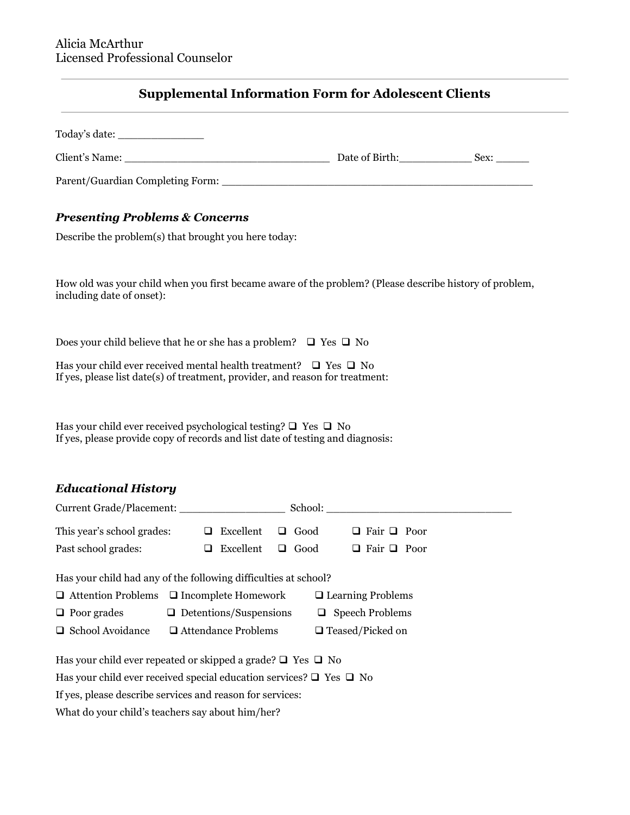# **Supplemental Information Form for Adolescent Clients**

| Today's date:                    |                |      |
|----------------------------------|----------------|------|
| Client's Name:                   | Date of Birth: | Sex: |
| Parent/Guardian Completing Form: |                |      |

# *Presenting Problems & Concerns*

Describe the problem(s) that brought you here today:

How old was your child when you first became aware of the problem? (Please describe history of problem, including date of onset):

Does your child believe that he or she has a problem?  $\Box$  Yes  $\Box$  No

Has your child ever received mental health treatment?  $\Box$  Yes  $\Box$  No If yes, please list date(s) of treatment, provider, and reason for treatment:

Has your child ever received psychological testing?  $\Box$  Yes  $\Box$  No If yes, please provide copy of records and list date of testing and diagnosis:

# *Educational History*

| Current Grade/Placement:                                                                                                                                                 |                                                             | School:                                                                       |  |  |
|--------------------------------------------------------------------------------------------------------------------------------------------------------------------------|-------------------------------------------------------------|-------------------------------------------------------------------------------|--|--|
| This year's school grades:                                                                                                                                               | $\Box$ Excellent<br>$\Box$ Good                             | $\Box$ Fair $\Box$ Poor                                                       |  |  |
| Past school grades:                                                                                                                                                      | Excellent<br>$\Box$ Good<br>⊔                               | $\Box$ Fair $\Box$ Poor                                                       |  |  |
| Has your child had any of the following difficulties at school?<br>$\Box$ Attention Problems $\Box$ Incomplete Homework<br>$\Box$ Poor grades<br>$\Box$ School Avoidance | $\Box$ Detentions/Suspensions<br>$\Box$ Attendance Problems | $\Box$ Learning Problems<br>$\Box$ Speech Problems<br>$\Box$ Teased/Picked on |  |  |
|                                                                                                                                                                          |                                                             |                                                                               |  |  |
| Has your child ever repeated or skipped a grade? $\Box$ Yes $\Box$ No<br>Has your child ever received special education services? $\Box$ Yes $\Box$ No                   |                                                             |                                                                               |  |  |
| If yes, please describe services and reason for services:                                                                                                                |                                                             |                                                                               |  |  |

What do your child's teachers say about him/her?